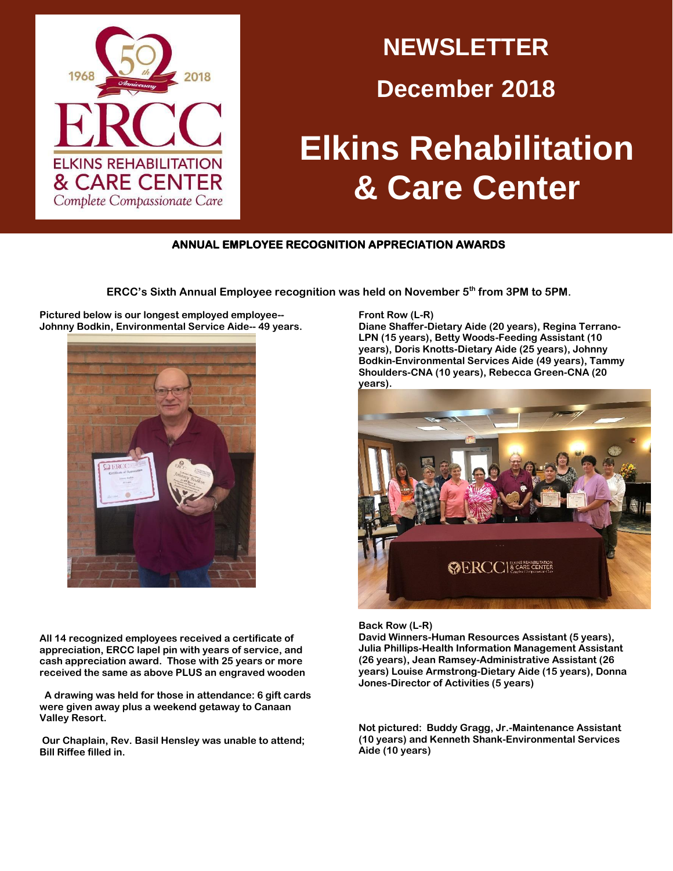

## **NEWSLETTER**

## **December 2018**

# **Elkins Rehabilitation & Care Center**

#### **ANNUAL EMPLOYEE RECOGNITION APPRECIATION AWARDS**

**ERCC's Sixth Annual Employee recognition was held on November 5th from 3PM to 5PM.** 

**Pictured below is our longest employed employee-- Johnny Bodkin, Environmental Service Aide-- 49 years.** 



**All 14 recognized employees received a certificate of appreciation, ERCC lapel pin with years of service, and cash appreciation award. Those with 25 years or more received the same as above PLUS an engraved wooden** 

 **A drawing was held for those in attendance: 6 gift cards were given away plus a weekend getaway to Canaan Valley Resort.**

**Our Chaplain, Rev. Basil Hensley was unable to attend; Bill Riffee filled in.**

#### **Front Row (L-R)**

**Diane Shaffer-Dietary Aide (20 years), Regina Terrano-LPN (15 years), Betty Woods-Feeding Assistant (10 years), Doris Knotts-Dietary Aide (25 years), Johnny Bodkin-Environmental Services Aide (49 years), Tammy Shoulders-CNA (10 years), Rebecca Green-CNA (20 years).**



#### **Back Row (L-R)**

**David Winners-Human Resources Assistant (5 years), Julia Phillips-Health Information Management Assistant (26 years), Jean Ramsey-Administrative Assistant (26 years) Louise Armstrong-Dietary Aide (15 years), Donna Jones-Director of Activities (5 years)**

**Not pictured: Buddy Gragg, Jr.-Maintenance Assistant (10 years) and Kenneth Shank-Environmental Services Aide (10 years)**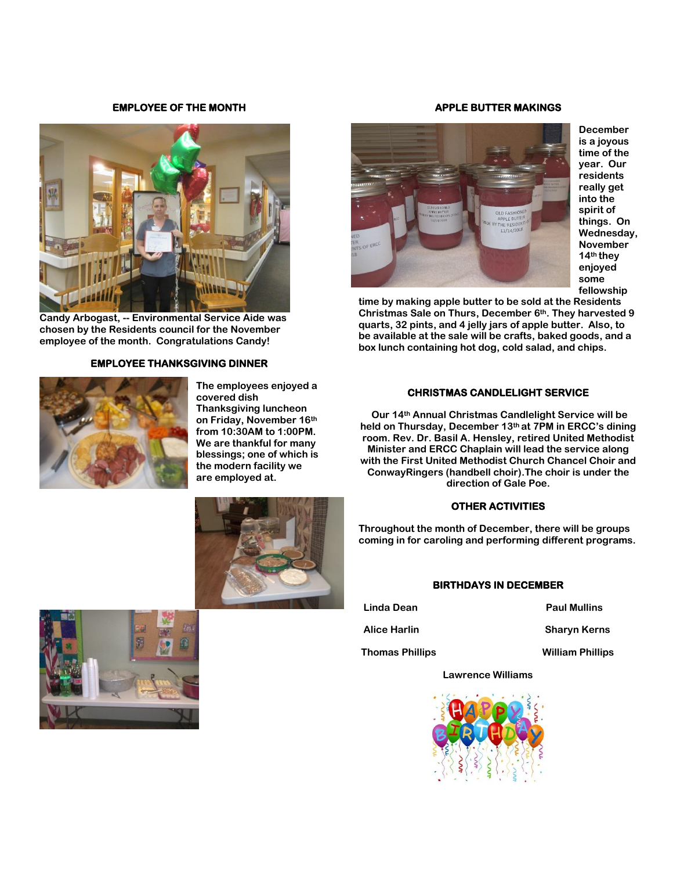#### **EMPLOYEE OF THE MONTH**



**Candy Arbogast, -- Environmental Service Aide was chosen by the Residents council for the November employee of the month. Congratulations Candy!**

#### **EMPLOYEE THANKSGIVING DINNER**



**The employees enjoyed a covered dish Thanksgiving luncheon on Friday, November 16th from 10:30AM to 1:00PM. We are thankful for many blessings; one of which is the modern facility we are employed at.** 



#### **APPLE BUTTER MAKINGS**



**December is a joyous time of the year. Our residents really get into the spirit of things. On Wednesday, November 14th they enjoyed some fellowship** 

**time by making apple butter to be sold at the Residents Christmas Sale on Thurs, December 6th. They harvested 9 quarts, 32 pints, and 4 jelly jars of apple butter. Also, to be available at the sale will be crafts, baked goods, and a box lunch containing hot dog, cold salad, and chips.** 

#### **CHRISTMAS CANDLELIGHT SERVICE**

**Our 14th Annual Christmas Candlelight Service will be held on Thursday, December 13th at 7PM in ERCC's dining room. Rev. Dr. Basil A. Hensley, retired United Methodist Minister and ERCC Chaplain will lead the service along with the First United Methodist Church Chancel Choir and ConwayRingers (handbell choir).The choir is under the direction of Gale Poe.** 

#### **OTHER ACTIVITIES**

**Throughout the month of December, there will be groups coming in for caroling and performing different programs.**

### **BIRTHDAYS IN DECEMBER**

**Linda Dean Paul Mullins Alice Harlin Sharyn Kerns Thomas Phillips William Phillips**

 **Lawrence Williams**